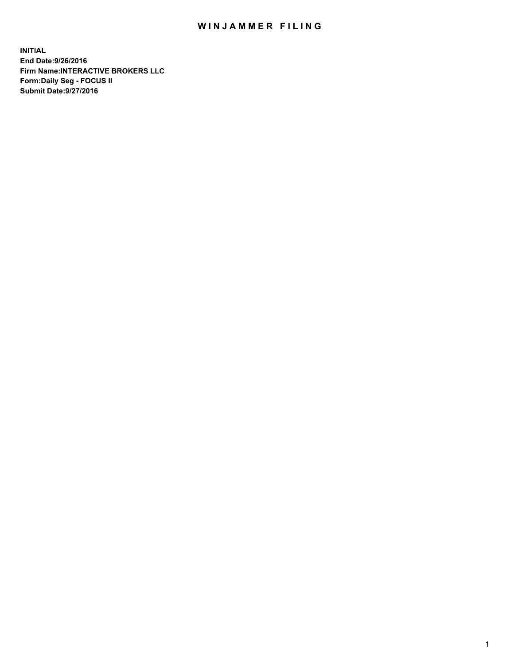## WIN JAMMER FILING

**INITIAL End Date:9/26/2016 Firm Name:INTERACTIVE BROKERS LLC Form:Daily Seg - FOCUS II Submit Date:9/27/2016**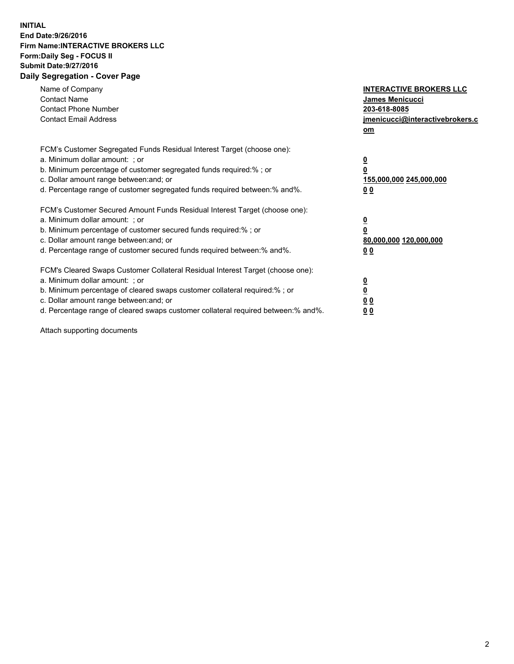## **INITIAL End Date:9/26/2016 Firm Name:INTERACTIVE BROKERS LLC Form:Daily Seg - FOCUS II Submit Date:9/27/2016 Daily Segregation - Cover Page**

| Name of Company<br><b>Contact Name</b><br><b>Contact Phone Number</b><br><b>Contact Email Address</b>                                                                                                                                                                                                                          | <b>INTERACTIVE BROKERS LLC</b><br>James Menicucci<br>203-618-8085<br>jmenicucci@interactivebrokers.c<br>om |
|--------------------------------------------------------------------------------------------------------------------------------------------------------------------------------------------------------------------------------------------------------------------------------------------------------------------------------|------------------------------------------------------------------------------------------------------------|
| FCM's Customer Segregated Funds Residual Interest Target (choose one):<br>a. Minimum dollar amount: ; or<br>b. Minimum percentage of customer segregated funds required:%; or<br>c. Dollar amount range between: and; or<br>d. Percentage range of customer segregated funds required between:% and%.                          | $\overline{\mathbf{0}}$<br>0<br>155,000,000 245,000,000<br>0 <sub>0</sub>                                  |
| FCM's Customer Secured Amount Funds Residual Interest Target (choose one):<br>a. Minimum dollar amount: ; or<br>b. Minimum percentage of customer secured funds required:%; or<br>c. Dollar amount range between: and; or<br>d. Percentage range of customer secured funds required between:% and%.                            | $\overline{\mathbf{0}}$<br>$\overline{\mathbf{0}}$<br>80,000,000 120,000,000<br>00                         |
| FCM's Cleared Swaps Customer Collateral Residual Interest Target (choose one):<br>a. Minimum dollar amount: ; or<br>b. Minimum percentage of cleared swaps customer collateral required:% ; or<br>c. Dollar amount range between: and; or<br>d. Percentage range of cleared swaps customer collateral required between:% and%. | $\overline{\mathbf{0}}$<br>$\overline{\mathbf{0}}$<br>0 <sub>0</sub><br><u>00</u>                          |

Attach supporting documents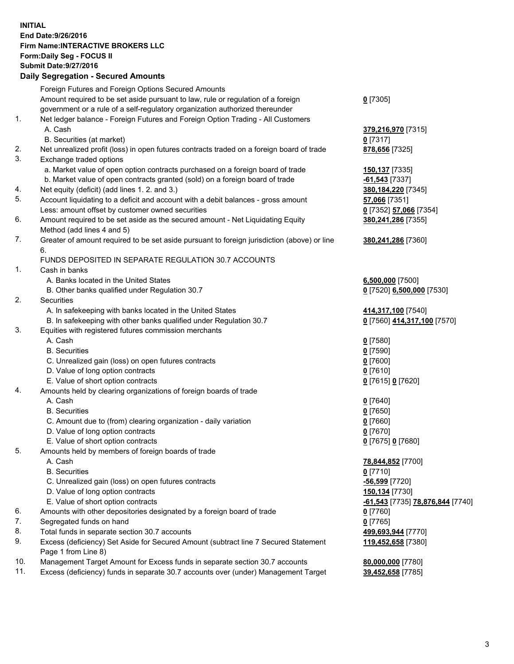## **INITIAL End Date:9/26/2016 Firm Name:INTERACTIVE BROKERS LLC Form:Daily Seg - FOCUS II Submit Date:9/27/2016 Daily Segregation - Secured Amounts**

|     | Daily Ocglegation - Occuled Amounts                                                                        |                                  |
|-----|------------------------------------------------------------------------------------------------------------|----------------------------------|
|     | Foreign Futures and Foreign Options Secured Amounts                                                        |                                  |
|     | Amount required to be set aside pursuant to law, rule or regulation of a foreign                           | $0$ [7305]                       |
|     | government or a rule of a self-regulatory organization authorized thereunder                               |                                  |
| 1.  | Net ledger balance - Foreign Futures and Foreign Option Trading - All Customers                            |                                  |
|     | A. Cash                                                                                                    | 379,216,970 [7315]               |
|     | B. Securities (at market)                                                                                  | $0$ [7317]                       |
| 2.  | Net unrealized profit (loss) in open futures contracts traded on a foreign board of trade                  | 878,656 [7325]                   |
| 3.  | Exchange traded options                                                                                    |                                  |
|     | a. Market value of open option contracts purchased on a foreign board of trade                             | 150,137 [7335]                   |
|     | b. Market value of open contracts granted (sold) on a foreign board of trade                               | $-61,543$ [7337]                 |
| 4.  | Net equity (deficit) (add lines 1. 2. and 3.)                                                              | 380, 184, 220 [7345]             |
| 5.  | Account liquidating to a deficit and account with a debit balances - gross amount                          | 57,066 [7351]                    |
|     | Less: amount offset by customer owned securities                                                           | 0 [7352] 57,066 [7354]           |
| 6.  | Amount required to be set aside as the secured amount - Net Liquidating Equity                             | 380,241,286 [7355]               |
|     | Method (add lines 4 and 5)                                                                                 |                                  |
| 7.  | Greater of amount required to be set aside pursuant to foreign jurisdiction (above) or line                | 380,241,286 [7360]               |
|     | 6.                                                                                                         |                                  |
|     | FUNDS DEPOSITED IN SEPARATE REGULATION 30.7 ACCOUNTS                                                       |                                  |
| 1.  | Cash in banks                                                                                              |                                  |
|     | A. Banks located in the United States                                                                      | $6,500,000$ [7500]               |
|     | B. Other banks qualified under Regulation 30.7                                                             | 0 [7520] 6,500,000 [7530]        |
| 2.  | Securities                                                                                                 |                                  |
|     | A. In safekeeping with banks located in the United States                                                  | 414,317,100 [7540]               |
|     | B. In safekeeping with other banks qualified under Regulation 30.7                                         | 0 [7560] 414,317,100 [7570]      |
| 3.  | Equities with registered futures commission merchants                                                      |                                  |
|     | A. Cash                                                                                                    | $0$ [7580]                       |
|     | <b>B.</b> Securities                                                                                       | $0$ [7590]                       |
|     | C. Unrealized gain (loss) on open futures contracts                                                        | $0$ [7600]                       |
|     | D. Value of long option contracts                                                                          | $0$ [7610]                       |
|     | E. Value of short option contracts                                                                         | 0 [7615] 0 [7620]                |
| 4.  | Amounts held by clearing organizations of foreign boards of trade                                          |                                  |
|     | A. Cash                                                                                                    | $0$ [7640]                       |
|     | <b>B.</b> Securities                                                                                       | $0$ [7650]                       |
|     | C. Amount due to (from) clearing organization - daily variation                                            | $0$ [7660]                       |
|     | D. Value of long option contracts                                                                          | $0$ [7670]                       |
|     | E. Value of short option contracts                                                                         | 0 [7675] 0 [7680]                |
| 5.  | Amounts held by members of foreign boards of trade                                                         |                                  |
|     | A. Cash                                                                                                    | 78,844,852 [7700]                |
|     | <b>B.</b> Securities                                                                                       | $0$ [7710]                       |
|     | C. Unrealized gain (loss) on open futures contracts                                                        | $-56,599$ [7720]                 |
|     | D. Value of long option contracts                                                                          | 150,134 [7730]                   |
|     | E. Value of short option contracts                                                                         | -61,543 [7735] 78,876,844 [7740] |
| 6.  | Amounts with other depositories designated by a foreign board of trade                                     | 0 [7760]                         |
| 7.  | Segregated funds on hand                                                                                   | $0$ [7765]                       |
| 8.  | Total funds in separate section 30.7 accounts                                                              | 499,693,944 [7770]               |
| 9.  | Excess (deficiency) Set Aside for Secured Amount (subtract line 7 Secured Statement<br>Page 1 from Line 8) | 119,452,658 [7380]               |
| 10. | Management Target Amount for Excess funds in separate section 30.7 accounts                                | 80,000,000 [7780]                |
| 11. | Excess (deficiency) funds in separate 30.7 accounts over (under) Management Target                         | 39,452,658 [7785]                |
|     |                                                                                                            |                                  |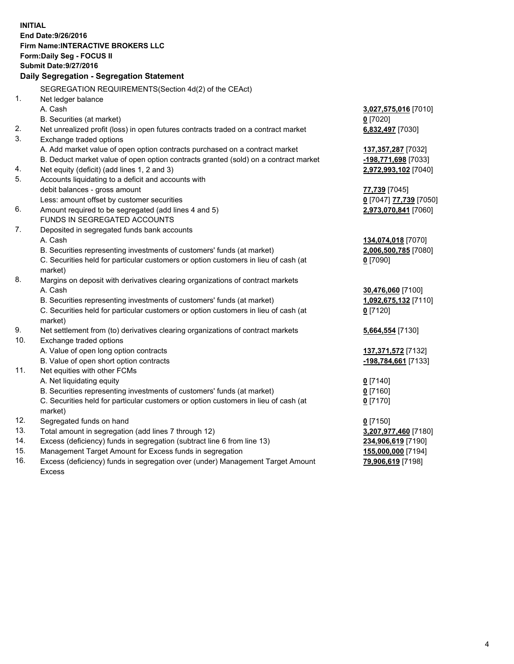**INITIAL End Date:9/26/2016 Firm Name:INTERACTIVE BROKERS LLC Form:Daily Seg - FOCUS II Submit Date:9/27/2016 Daily Segregation - Segregation Statement** SEGREGATION REQUIREMENTS(Section 4d(2) of the CEAct) 1. Net ledger balance A. Cash **3,027,575,016** [7010] B. Securities (at market) **0** [7020] 2. Net unrealized profit (loss) in open futures contracts traded on a contract market **6,832,497** [7030] 3. Exchange traded options A. Add market value of open option contracts purchased on a contract market **137,357,287** [7032] B. Deduct market value of open option contracts granted (sold) on a contract market **-198,771,698** [7033] 4. Net equity (deficit) (add lines 1, 2 and 3) **2,972,993,102** [7040] 5. Accounts liquidating to a deficit and accounts with debit balances - gross amount **77,739** [7045] Less: amount offset by customer securities **0** [7047] **77,739** [7050] 6. Amount required to be segregated (add lines 4 and 5) **2,973,070,841** [7060] FUNDS IN SEGREGATED ACCOUNTS 7. Deposited in segregated funds bank accounts A. Cash **134,074,018** [7070] B. Securities representing investments of customers' funds (at market) **2,006,500,785** [7080] C. Securities held for particular customers or option customers in lieu of cash (at market) **0** [7090] 8. Margins on deposit with derivatives clearing organizations of contract markets A. Cash **30,476,060** [7100] B. Securities representing investments of customers' funds (at market) **1,092,675,132** [7110] C. Securities held for particular customers or option customers in lieu of cash (at market) **0** [7120] 9. Net settlement from (to) derivatives clearing organizations of contract markets **5,664,554** [7130] 10. Exchange traded options A. Value of open long option contracts **137,371,572** [7132] B. Value of open short option contracts **-198,784,661** [7133] 11. Net equities with other FCMs A. Net liquidating equity **0** [7140] B. Securities representing investments of customers' funds (at market) **0** [7160] C. Securities held for particular customers or option customers in lieu of cash (at market) **0** [7170] 12. Segregated funds on hand **0** [7150] 13. Total amount in segregation (add lines 7 through 12) **3,207,977,460** [7180] 14. Excess (deficiency) funds in segregation (subtract line 6 from line 13) **234,906,619** [7190] 15. Management Target Amount for Excess funds in segregation **155,000,000** [7194] **79,906,619** [7198]

16. Excess (deficiency) funds in segregation over (under) Management Target Amount Excess